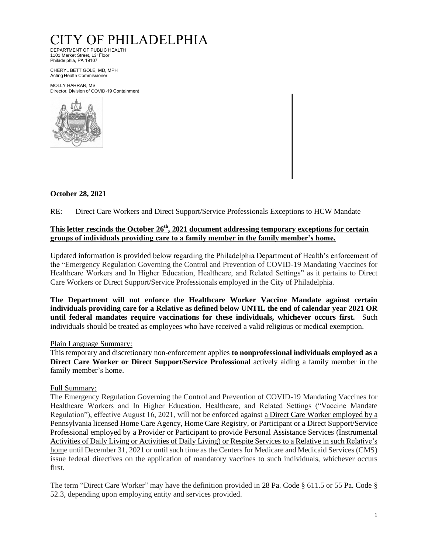# CITY OF PHILADELPHIA

DEPARTMENT OF PUBLIC HEALTH   1101 Market Street, 13<sup>th</sup> Floor Philadelphia, PA 19107 

CHERYL BETTIGOLE, MD, MPH  Acting Health Commissioner 

MOLLY HARRAR, MS Director, Division of COVID-19 Containment 



# **October 28, 2021**

RE: Direct Care Workers and Direct Support/Service Professionals Exceptions to HCW Mandate

## **This letter rescinds the October 26th, 2021 document addressing temporary exceptions for certain groups of individuals providing care to a family member in the family member's home.**

Updated information is provided below regarding the Philadelphia Department of Health's enforcement of the "Emergency Regulation Governing the Control and Prevention of COVID-19 Mandating Vaccines for Healthcare Workers and In Higher Education, Healthcare, and Related Settings" as it pertains to Direct Care Workers or Direct Support/Service Professionals employed in the City of Philadelphia.

**The Department will not enforce the Healthcare Worker Vaccine Mandate against certain individuals providing care for a Relative as defined below UNTIL the end of calendar year 2021 OR until federal mandates require vaccinations for these individuals, whichever occurs first.** Such individuals should be treated as employees who have received a valid religious or medical exemption.

## Plain Language Summary:

This temporary and discretionary non-enforcement applies **to nonprofessional individuals employed as a Direct Care Worker or Direct Support/Service Professional** actively aiding a family member in the family member's home.

## Full Summary:

The Emergency Regulation Governing the Control and Prevention of COVID-19 Mandating Vaccines for Healthcare Workers and In Higher Education, Healthcare, and Related Settings ("Vaccine Mandate Regulation"), effective August 16, 2021, will not be enforced against a Direct Care Worker employed by a Pennsylvania licensed Home Care Agency, Home Care Registry, or Participant or a Direct Support/Service Professional employed by a Provider or Participant to provide Personal Assistance Services (Instrumental Activities of Daily Living or Activities of Daily Living) or Respite Services to a Relative in such Relative's home until December 31, 2021 or until such time as the Centers for Medicare and Medicaid Services (CMS) issue federal directives on the application of mandatory vaccines to such individuals, whichever occurs first.

The term "Direct Care Worker" may have the definition provided in 28 Pa. Code § 611.5 or 55 Pa. Code § 52.3, depending upon employing entity and services provided.